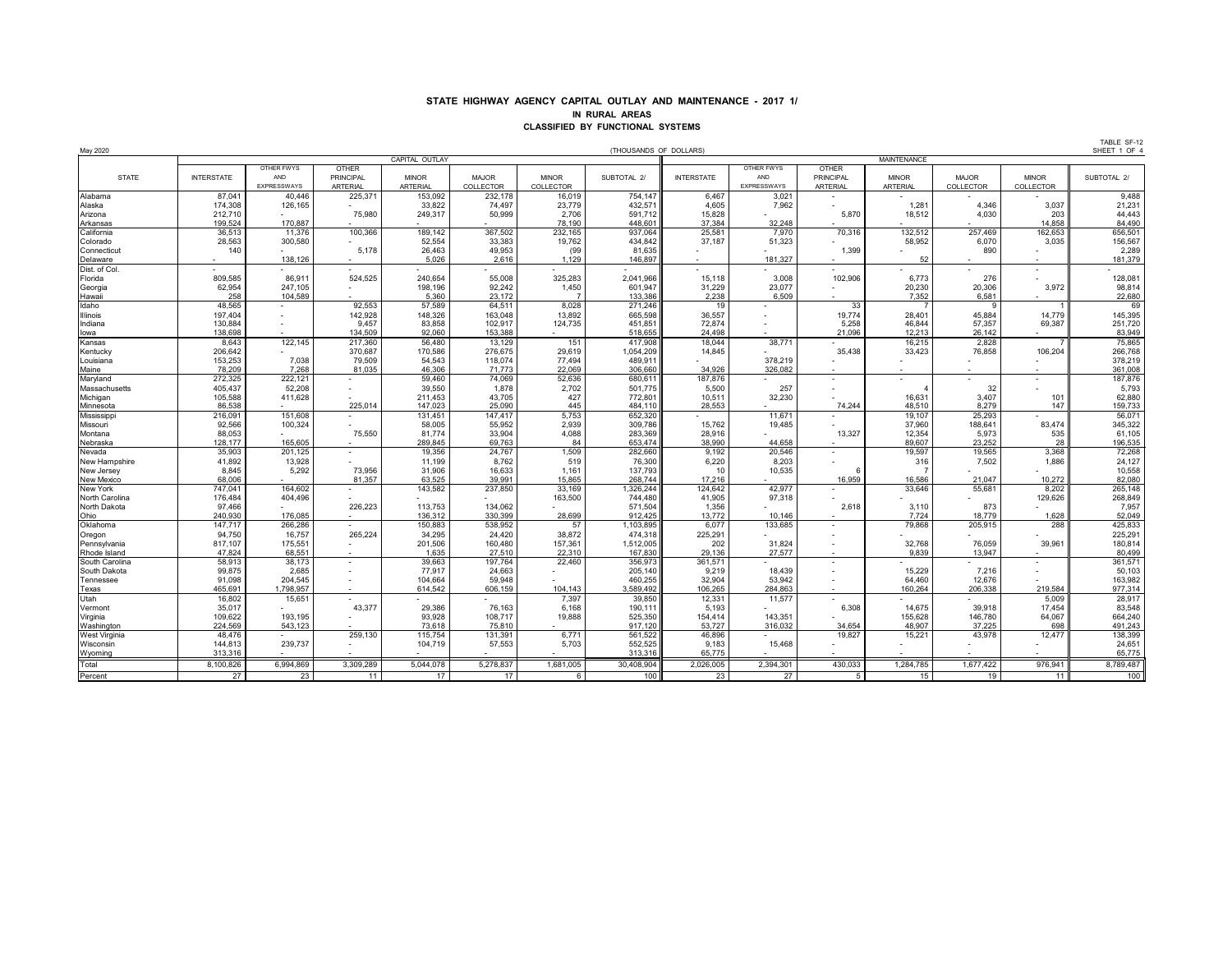## **STATE HIGHWAY AGENCY CAPITAL OUTLAY AND MAINTENANCE - 2017 1/ IN RURAL AREAS CLASSIFIED BY FUNCTIONAL SYSTEMS**

| May 2020                  |                   |             |                  |                 |                  |                  | (THOUSANDS OF DOLLARS) |                   |             |                  |                 |                  |              | SHEET 1 OF  |
|---------------------------|-------------------|-------------|------------------|-----------------|------------------|------------------|------------------------|-------------------|-------------|------------------|-----------------|------------------|--------------|-------------|
|                           |                   |             |                  | CAPITAL OUTLAY  |                  |                  |                        |                   |             |                  |                 |                  |              |             |
|                           |                   | OTHER FWYS  | <b>OTHER</b>     |                 |                  |                  |                        |                   | OTHER FWYS  | <b>OTHER</b>     |                 |                  |              |             |
| <b>STATE</b>              | <b>INTERSTATE</b> | AND         | <b>PRINCIPAL</b> | <b>MINOR</b>    | <b>MAJOR</b>     | <b>MINOR</b>     | SUBTOTAL 2/            | <b>INTERSTATE</b> | AND         | <b>PRINCIPAL</b> | <b>MINOR</b>    | <b>MAJOR</b>     | <b>MINOR</b> | SUBTOTAL 2/ |
|                           |                   | EXPRESSWAYS | <b>ARTERIAL</b>  | <b>ARTERIAL</b> | <b>COLLECTOR</b> | <b>COLLECTOR</b> |                        |                   | EXPRESSWAYS | <b>ARTERIAL</b>  | <b>ARTERIAL</b> | <b>COLLECTOR</b> | COLLECTOR    |             |
| Alabama                   | 87,041            | 40,446      | 225,371          | 153,092         | 232,178          | 16,019           | 754,147                | 6,467             | 3,021       |                  |                 |                  |              | 9,488       |
| Alaska                    | 174,308           | 126,165     |                  | 33,822          | 74,497           | 23,779           | 432,571                | 4,605             | 7,962       |                  | 1,281           | 4,346            | 3,037        | 21,231      |
| Arizona                   | 212,710           |             | 75,980           | 249,317         | 50,999           | 2,706            | 591,712                | 15,828            |             | 5,870            | 18,512          | 4,030            | 203          | 44,443      |
| Arkansas                  | 199,524           | 170,887     |                  |                 |                  | 78,190           | 448,601                | 37,384            | 32,248      |                  |                 |                  | 14,858       | 84,490      |
| California                | 36,513            | 11,376      | 100,366          | 189,142         | 367,502          | 232,165          | 937,064                | 25,581            | 7,970       | 70,316           | 132,512         | 257,469          | 162,653      | 656,501     |
|                           | 28,563            | 300,580     |                  | 52,554          | 33,383           | 19,762           | 434,842                | 37,187            | 51,323      |                  | 58,952          | 6,070            | 3,035        | 156,567     |
| Colorado                  | 140               |             |                  |                 | 49,953           |                  |                        |                   |             |                  |                 | 890              |              | 2,289       |
| Connecticut               |                   | 138,126     | 5,178            | 26,463<br>5,026 | 2,616            | (99)<br>1,129    | 81,635<br>146,897      |                   | 181,327     | 1,399            | 52              |                  |              | 181,379     |
| Delaware<br>Dist. of Col. |                   |             |                  |                 |                  |                  |                        |                   |             |                  |                 |                  |              |             |
|                           |                   |             |                  |                 |                  |                  |                        |                   |             |                  |                 |                  |              |             |
| Florida                   | 809,585           | 86,911      | 524,525          | 240,654         | 55,008           | 325,283          | 2,041,966              | 15,118            | 3,008       | 102,906          | 6,773           | 276              |              | 128,081     |
| Georgia                   | 62,954            | 247,105     |                  | 198,196         | 92,242           | 1,450            | 601,947                | 31,229            | 23,077      |                  | 20,230          | 20,306           | 3,972        | 98,814      |
| Hawaii                    | 258               | 104,589     |                  | 5,360           | 23,172           | $\overline{7}$   | 133,386                | 2,238             | 6,509       |                  | 7,352           | 6,581            |              | 22,680      |
| Idaho                     | 48,565            |             | 92,553           | 57,589          | 64,511           | 8,028            | 271,246                | 19                |             | 33               | $\overline{7}$  | 9                |              | 69          |
| <b>Illinois</b>           | 197,404           |             | 142,928          | 148,326         | 163,048          | 13,892           | 665,598                | 36,557            |             | 19,774           | 28,401          | 45,884           | 14,779       | 145,395     |
| Indiana                   | 130,884           |             | 9,457            | 83,858          | 102,917          | 124,735          | 451,851                | 72,874            |             | 5,258            | 46,844          | 57,357           | 69,387       | 251,720     |
| lowa                      | 138,698           |             | 134,509          | 92,060          | 153,388          |                  | 518,655                | 24,498            |             | 21,096           | 12,213          | 26,142           |              | 83,949      |
| Kansas                    | 8,643             | 122,145     | 217,360          | 56,480          | 13,129           | 151              | 417,908                | 18,044            | 38,771      |                  | 16,215          | 2,828            |              | 75,865      |
| Kentucky                  | 206,642           |             | 370,687          | 170,586         | 276,675          | 29,619           | 1,054,209              | 14,845            |             | 35,438           | 33,423          | 76,858           | 106,204      | 266,768     |
| Louisiana                 | 153,253           | 7,038       | 79,509           | 54,543          | 118,074          | 77,494           | 489,911                |                   | 378,219     |                  |                 |                  |              | 378,219     |
| Maine                     | 78,209            | 7,268       | 81,035           | 46,306          | 71,773           | 22,069           | 306,660                | 34,926            | 326,082     |                  |                 |                  |              | 361,008     |
| Maryland                  | 272,325           | 222,121     |                  | 59,460          | 74,069           | 52,636           | 680,611                | 187,876           |             |                  |                 |                  |              | 187,876     |
| Massachusetts             | 405,437           | 52,208      | $\sim$           | 39,550          | 1,878            | 2,702            | 501,775                | 5,500             | 257         |                  |                 | 32               |              | 5,793       |
| Michigan                  | 105,588           | 411,628     |                  | 211,453         | 43,705           | 427              | 772,801                | 10,511            | 32,230      |                  | 16,631          | 3,407            | 101          | 62,880      |
| Minnesota                 | 86,538            |             | 225,014          | 147,023         | 25,090           | 445              | 484,110                | 28,553            |             | 74,244           | 48,510          | 8,279            | 147          | 159,733     |
| Mississippi               | 216,091           | 151,608     |                  | 131,451         | 147,417          | 5,753            | 652,320                |                   | 11,671      |                  | 19,107          | 25,293           |              | 56,071      |
| Missouri                  | 92,566            | 100,324     |                  | 58,005          | 55,952           | 2,939            | 309,786                | 15,762            | 19,485      |                  | 37,960          | 188,641          | 83,474       | 345,322     |
| Montana                   | 88,053            |             | 75,550           | 81,774          | 33,904           | 4,088            | 283,369                | 28,916            |             | 13,327           | 12,354          | 5,973            | 535          | 61,105      |
| Nebraska                  | 128,177           | 165,605     |                  | 289,845         | 69,763           | 84               | 653,474                | 38,990            | 44,658      |                  | 89,607          | 23,252           | 28           | 196,535     |
| Nevada                    | 35,903            | 201,125     |                  | 19,356          | 24,767           | 1,509            | 282,660                | 9,192             | 20,546      |                  | 19,597          | 19,565           | 3,368        | 72,268      |
| New Hampshire             | 41,892            | 13,928      |                  | 11,199          | 8,762            | 519              | 76,300                 | 6,220             | 8,203       |                  | 316             | 7,502            | 1,886        | 24,127      |
| New Jersey                | 8,845             | 5,292       | 73,956           | 31,906          | 16,633           | 1,161            | 137,793                | 10                | 10,535      |                  |                 |                  |              | 10,558      |
| New Mexico                | 68,006            |             | 81,357           | 63,525          | 39,991           | 15,865           | 268,744                | 17,216            |             | 16,959           | 16,586          | 21.047           | 10,272       | 82,080      |
| <b>New York</b>           | 747,041           | 164,602     |                  | 143,582         | 237,850          | 33,169           | 1,326,244              | 124,642           | 42,977      |                  | 33,646          | 55,681           | 8,202        | 265,148     |
| North Carolina            | 176,484           | 404,496     |                  |                 |                  | 163,500          | 744,480                | 41,905            | 97,318      |                  |                 |                  | 129,626      | 268,849     |
| North Dakota              | 97,466            |             | 226,223          | 113,753         | 134,062          |                  | 571,504                | 1,356             |             | 2,618            | 3,110           | 873              |              | 7,957       |
| Ohio                      | 240,930           | 176,085     |                  | 136,312         | 330,399          | 28,699           | 912,425                | 13,772            | 10,146      |                  | 7,724           | 18,779           | 1,628        | 52,049      |
| Oklahoma                  | 147,717           | 266,286     |                  | 150,883         | 538,952          | 57               | 1,103,895              | 6,077             | 133,685     |                  | 79,868          | 205,915          | 288          | 425,833     |
| Oregon                    | 94,750            | 16,757      | 265,224          | 34,295          | 24,420           | 38,872           | 474,318                | 225,291           |             |                  |                 |                  |              | 225,291     |
| Pennsylvania              | 817,107           | 175,551     |                  | 201,506         | 160,480          | 157,361          | 1,512,005              | 202               | 31,824      |                  | 32,768          | 76,059           | 39,961       | 180,814     |
| Rhode Island              | 47,824            | 68,551      | $\sim$           | 1,635           | 27,510           | 22,310           | 167,830                | 29,136            | 27,577      | $\blacksquare$   | 9,839           | 13,947           |              | 80,499      |
| South Carolina            | 58,913            | 38,173      |                  | 39,663          | 197,764          | 22,460           | 356,973                | 361,571           |             |                  |                 |                  |              | 361,571     |
| South Dakota              | 99,875            | 2,685       |                  | 77,917          | 24,663           |                  | 205,140                | 9,219             | 18,439      |                  | 15,229          | 7,216            |              | 50,103      |
| Tennessee                 | 91,098            | 204,545     |                  | 104,664         | 59,948           |                  | 460,255                | 32,904            | 53,942      |                  | 64,460          | 12,676           |              | 163,982     |
| Texas                     | 465,691           | 1,798,957   | $\sim$           | 614,542         | 606,159          | 104,143          | 3,589,492              | 106,265           | 284,863     | $\sim$           | 160,264         | 206,338          | 219,584      | 977,314     |
| Utah                      | 16,802            | 15,651      |                  |                 |                  | 7,397            | 39,850                 | 12,331            | 11,577      |                  |                 |                  | 5,009        | 28,917      |
| Vermont                   | 35,017            |             | 43,377           | 29,386          | 76,163           | 6,168            | 190,111                | 5,193             |             | 6,308            | 14,675          | 39,918           | 17,454       | 83,548      |
| Virginia                  | 109,622           | 193,195     |                  | 93,928          | 108,717          | 19,888           | 525,350                | 154,414           | 143,351     |                  | 155,628         | 146,780          | 64,067       | 664,240     |
| Washington                | 224,569           | 543,123     |                  | 73,618          | 75,810           |                  | 917,120                | 53,727            | 316,032     | 34,654           | 48,907          | 37,225           | 698          | 491,243     |
| West Virginia             | 48,476            |             | 259,130          | 115,754         | 131,391          | 6,771            | 561,522                | 46,896            |             | 19,827           | 15,221          | 43,978           | 12,477       | 138,399     |
| Wisconsin                 | 144,813           | 239,737     | $\sim$           | 104,719         | 57,553           | 5,703            | 552,525                | 9,183             | 15,468      |                  |                 |                  |              | 24,651      |
| Wyoming                   | 313,316           |             | $\blacksquare$   |                 |                  |                  | 313,316                | 65,775            |             |                  |                 |                  |              | 65,775      |
| Total                     | 8,100,826         | 6,994,869   | 3,309,289        | 5,044,078       | 5,278,837        | 1,681,005        | 30,408,904             | 2,026,005         | 2,394,301   | 430,033          | 1,284,785       | 1,677,422        | 976,941      | 8,789,487   |
| Percent                   | 27                |             | 11               | 17              | 17 <sup>1</sup>  | 6                | 100                    | 23                | 27          | - 5              | 15              | 19               | 11           | 100         |
|                           |                   | 23          |                  |                 |                  |                  |                        |                   |             |                  |                 |                  |              |             |

TABLE SF-12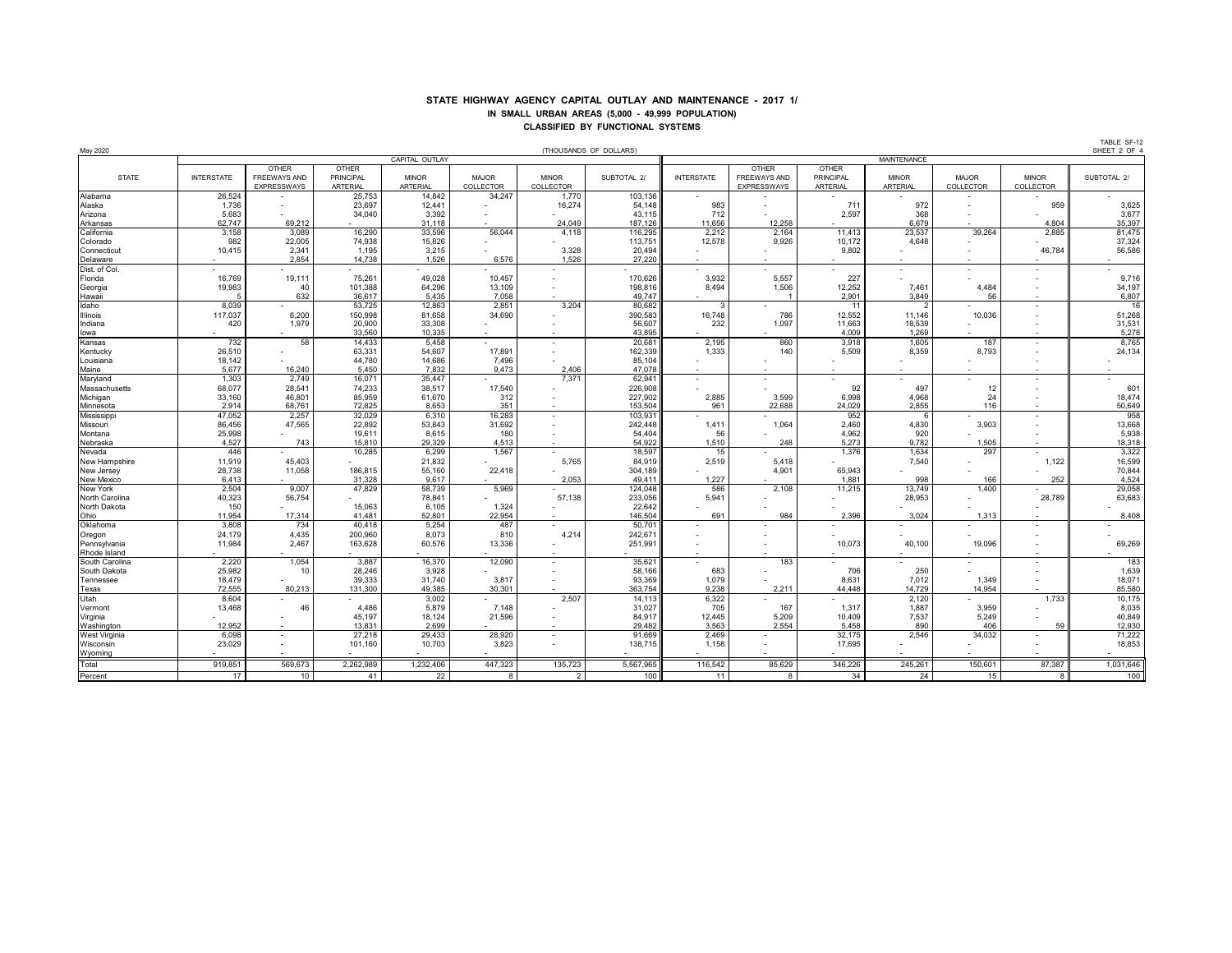## **STATE HIGHWAY AGENCY CAPITAL OUTLAY AND MAINTENANCE - 2017 1/ IN SMALL URBAN AREAS (5,000 - 49,999 POPULATION) CLASSIFIED BY FUNCTIONAL SYSTEMS**

| May 2020            |                   |                          |                  |                 |                  |                           | (THOUSANDS OF DOLLARS) |                          |                          |                  |                    |                |                          | SHEET 2 OF 4     |  |  |  |
|---------------------|-------------------|--------------------------|------------------|-----------------|------------------|---------------------------|------------------------|--------------------------|--------------------------|------------------|--------------------|----------------|--------------------------|------------------|--|--|--|
|                     |                   |                          |                  | CAPITAL OUTLAY  |                  |                           |                        |                          |                          |                  | <b>MAINTENANCE</b> |                |                          |                  |  |  |  |
|                     |                   | <b>OTHER</b>             | <b>OTHER</b>     |                 |                  |                           |                        |                          | <b>OTHER</b>             | <b>OTHER</b>     |                    |                |                          |                  |  |  |  |
| <b>STATE</b>        | <b>INTERSTATE</b> | FREEWAYS AND             | <b>PRINCIPAL</b> | <b>MINOR</b>    | <b>MAJOR</b>     | <b>MINOR</b>              | SUBTOTAL 2/            | <b>INTERSTATE</b>        | <b>FREEWAYS AND</b>      | <b>PRINCIPAL</b> | <b>MINOR</b>       | <b>MAJOR</b>   | <b>MINOR</b>             | SUBTOTAL 2/      |  |  |  |
|                     |                   | EXPRESSWAYS              | <b>ARTERIAL</b>  | <b>ARTERIAL</b> | <b>COLLECTOR</b> | <b>COLLECTOR</b>          |                        |                          | <b>EXPRESSWAYS</b>       | <b>ARTERIAL</b>  | <b>ARTERIAL</b>    | COLLECTOR      | COLLECTOR                |                  |  |  |  |
| Alabama             | 26,524            |                          | 25,753           | 14,842          | 34,247           | 1,770                     | 103,136                | $\sim$                   |                          |                  |                    |                |                          |                  |  |  |  |
|                     |                   |                          |                  |                 |                  |                           |                        |                          |                          |                  |                    |                |                          |                  |  |  |  |
| Alaska              | 1,736             |                          | 23,697           | 12,441          |                  | 16,274                    | 54,148                 | 983                      |                          | 711              | 972                |                | 959                      | 3,625            |  |  |  |
| Arizona             | 5,683             |                          | 34,040           | 3,392           |                  |                           | 43,115                 | 712                      |                          | 2,597            | 368                | $\blacksquare$ |                          | 3,677            |  |  |  |
| Arkansas            | 62,747            | 69,212                   |                  | 31,118          |                  | 24,049                    | 187,126                | 11,656                   | 12,258                   |                  | 6,679              |                | 4,804                    | 35,397           |  |  |  |
| California          | 3,158             | 3,089                    | 16,290           | 33,596          | 56,044           | 4,118                     | 116,295                | 2,212                    | 2,164                    | 11,413           | 23,537             | 39,264         | 2,885                    | 81,475           |  |  |  |
| Colorado            | 982               | 22,005                   | 74,938           | 15,826          |                  |                           | 113,751                | 12,578                   | 9,926                    | 10,172           | 4,648              |                |                          | 37,324           |  |  |  |
| Connecticut         | 10,415            | 2,341                    | 1,195            | 3,215           |                  | 3,328                     | 20,494                 |                          |                          | 9,802            |                    |                | 46,784                   | 56,586           |  |  |  |
| Delaware            |                   | 2,854                    | 14,738           | 1,526           | 6,576            | 1,526                     | 27,220                 |                          |                          |                  |                    |                |                          |                  |  |  |  |
| Dist. of Col.       |                   |                          |                  |                 |                  |                           |                        |                          |                          |                  |                    |                |                          |                  |  |  |  |
| Florida             | 16,769            | 19,111                   | 75,261           | 49,028          | 10,457           |                           | 170,626                | 3,932                    | 5,557                    | 227              |                    |                |                          | 9,716            |  |  |  |
| Georgia             | 19,983            | 40                       | 101,388          | 64,296          | 13,109           |                           | 198,816                | 8,494                    | 1,506                    | 12,252           | 7,461              | 4,484          |                          | 34,197           |  |  |  |
| Hawaii              | .5                | 632                      | 36,617           | 5,435           | 7,058            |                           | 49,747                 |                          |                          | 2,901            | 3,849              | 56             | $\sim$                   | 6,807            |  |  |  |
| Idaho               | 8,039             |                          | 53,725           | 12,863          | 2,851            | 3,204                     | 80,682                 | -3                       |                          | 11               | 2                  |                | $\sim$                   | 16               |  |  |  |
|                     |                   |                          | 150,998          | 81,658          | 34,690           |                           |                        |                          | 786                      | 12,552           | 11,146             |                |                          | 51,268           |  |  |  |
| <b>Illinois</b>     | 117,037           | 6,200                    |                  |                 |                  |                           | 390,583                | 16,748                   |                          |                  |                    | 10,036         |                          |                  |  |  |  |
| Indiana             | 420               | 1,979                    | 20,900           | 33,308          |                  |                           | 56,607                 | 232                      | 1,097                    | 11,663           | 18,539             |                |                          | 31,531           |  |  |  |
| lowa                |                   |                          | 33,560           | 10,335          |                  |                           | 43,895                 |                          |                          | 4,009            | 1,269              |                |                          | 5,278            |  |  |  |
| Kansas              | 732               | 58                       | 14,433           | 5,458           |                  |                           | 20,681                 | 2,195                    | 860                      | 3,918            | 1,605              | 187            |                          | 8,765            |  |  |  |
| Kentucky            | 26,510            |                          | 63,331           | 54,607          | 17,891           |                           | 162,339                | 1,333                    | 140                      | 5,509            | 8,359              | 8,793          |                          | 24,134           |  |  |  |
| Louisiana           | 18,142            |                          | 44,780           | 14,686          | 7,496            |                           | 85,104                 | $\overline{\phantom{a}}$ |                          |                  |                    |                |                          |                  |  |  |  |
| Maine               | 5,677             | 16,240                   | 5,450            | 7,832           | 9,473            | 2,406                     | 47,078                 |                          |                          |                  |                    |                |                          |                  |  |  |  |
| Maryland            | 1,303             | 2,749                    | 16,071           | 35,447          |                  | 7,371                     | 62,941                 | $\overline{\phantom{0}}$ |                          |                  |                    |                |                          |                  |  |  |  |
| Massachusetts       | 68,077            | 28,541                   | 74,233           | 38,517          | 17,540           |                           | 226,908                |                          | $\blacksquare$           | 92               | 497                | 12             |                          | 601              |  |  |  |
| Michigan            | 33,160            | 46,801                   | 85,959           | 61,670          | 312              |                           | 227,902                | 2,885                    | 3,599                    | 6,998            | 4,968              | 24             |                          | 18,474           |  |  |  |
| Minnesota           | 2,914             | 68,761                   | 72,825           | 8,653           | 351              |                           | 153,504                | 961                      | 22,688                   | 24,029           | 2,855              | 116            |                          | 50,649           |  |  |  |
| Mississippi         | 47,052            | 2,257                    | 32,029           | 6,310           | 16,283           |                           | 103,931                |                          |                          | 952              | -6                 |                |                          | 958              |  |  |  |
| Missouri            | 86,456            | 47,565                   | 22,892           | 53,843          | 31,692           |                           | 242,448                |                          | 1,064                    | 2,460            | 4,830              | 3,903          |                          | 13,668           |  |  |  |
|                     |                   |                          |                  |                 |                  |                           | 54,404                 | 1,411                    |                          | 4,962            | 920                |                |                          | 5,938            |  |  |  |
| Montana<br>Nebraska | 25,998            |                          | 19,611           | 8,615           | 180              |                           |                        | 56                       |                          |                  |                    |                |                          |                  |  |  |  |
|                     | 4,527             | 743                      | 15,810           | 29,329          | 4,513            |                           | 54,922                 | 1,510                    | 248                      | 5,273            | 9,782              | 1,505          |                          | 18,318           |  |  |  |
| Nevada              | 446               |                          | 10,285           | 6,299           | 1,567            |                           | 18,597                 | 15                       |                          | 1,376            | 1,634              | 297            |                          | 3,322            |  |  |  |
| New Hampshire       | 11,919            | 45,403                   |                  | 21,832          |                  | 5,765                     | 84,919                 | 2,519                    | 5,418                    |                  | 7,540              |                | 1,122                    | 16,599           |  |  |  |
| New Jersey          | 28,738            | 11,058                   | 186,815          | 55,160          | 22,418           |                           | 304,189                |                          | 4,901                    | 65,943           |                    |                |                          | 70,844           |  |  |  |
| New Mexico          | 6,413             |                          | 31,328           | 9,617           |                  | 2,053                     | 49,411                 | 1,227                    |                          | 1,881            | 998                | 166            | 252                      | 4,524            |  |  |  |
| New York            | 2,504             | 9,007                    | 47,829           | 58,739          | 5,969            |                           | 124,048                | 586                      | 2,108                    | 11,215           | 13,749             | 1,400          |                          | 29,058           |  |  |  |
| North Carolina      | 40,323            | 56,754                   |                  | 78,841          |                  | 57,138                    | 233,056                | 5,941                    |                          |                  | 28,953             |                | 28,789                   | 63,683           |  |  |  |
| North Dakota        | 150               |                          | 15,063           | 6,105           | 1,324            |                           | 22,642                 |                          |                          |                  |                    |                |                          |                  |  |  |  |
| Ohio                | 11,954            | 17,314                   | 41.481           | 52,801          | 22,954           |                           | 146,504                | 691                      | 984                      | 2,396            | 3,024              | 1,313          |                          | 8,408            |  |  |  |
| Oklahoma            | 3,808             | 734                      | 40,418           | 5,254           | 487              |                           | 50,701                 |                          |                          |                  |                    |                |                          |                  |  |  |  |
| Oregon              | 24,179            | 4,435                    | 200,960          | 8,073           | 810              | 4,214                     | 242,671                |                          |                          |                  |                    |                |                          |                  |  |  |  |
| Pennsylvania        | 11,984            | 2,467                    | 163,628          | 60,576          | 13,336           |                           | 251,991                |                          |                          | 10,073           | 40,100             | 19,096         |                          | 69,269           |  |  |  |
| Rhode Island        |                   |                          |                  |                 |                  | $\sim$                    |                        | $\sim$                   |                          |                  |                    |                | $\sim$                   |                  |  |  |  |
| South Carolina      | 2,220             | 1,054                    | 3,887            | 16,370          | 12,090           |                           | 35,621                 |                          | 183                      |                  |                    |                |                          | 183              |  |  |  |
| South Dakota        | 25,982            |                          |                  | 3,928           |                  |                           |                        |                          |                          |                  |                    |                |                          |                  |  |  |  |
|                     |                   | 10                       | 28,246           |                 |                  |                           | 58,166                 | 683                      |                          | 706              | 250                |                |                          | 1,639            |  |  |  |
| Tennessee           | 18,479            |                          | 39,333           | 31,740          | 3,817            |                           | 93,369                 | 1,079                    |                          | 8,631            | 7,012              | 1,349          |                          | 18,071           |  |  |  |
| Texas<br>Utah       | 72,555            | 80,213                   | 131,300          | 49,385          | 30,301           |                           | 363,754                | 9,238                    | 2,211                    | 44,448           | 14,729             | 14,954         | $\sim$                   | 85,580           |  |  |  |
|                     | 8,604             |                          |                  | 3,002           |                  | 2,507                     | 14,113                 | 6,322                    |                          |                  | 2,120              |                | 1,733                    | 10,175           |  |  |  |
| Vermont             | 13,468            | 46                       | 4,486            | 5,879           | 7,148            |                           | 31,027                 | 705                      | 167                      | 1,317            | 1,887              | 3,959          |                          | 8,035            |  |  |  |
| Virginia            |                   | $\sim$                   | 45,197           | 18,124          | 21,596           |                           | 84,917                 | 12,445                   | 5,209                    | 10,409           | 7,537              | 5,249          |                          | 40,849           |  |  |  |
| Washington          | 12,952            | $\sim$                   | 13,831           | 2,699           |                  |                           | 29,482                 | 3,563                    | 2,554                    | 5,458            | 890                | 406            | 59                       | 12,930           |  |  |  |
| West Virginia       | 6,098             | $\sim$                   | 27,218           | 29,433          | 28,920           | $\sim$                    | 91,669                 | 2,469                    |                          | 32,175           | 2,546              | 34,032         |                          | 71,222           |  |  |  |
| Wisconsin           | 23,029            |                          | 101,160          | 10,703          | 3,823            |                           | 138,715                | 1,158                    |                          | 17,695           |                    |                |                          | 18,853           |  |  |  |
| Wyoming             |                   | $\overline{\phantom{a}}$ |                  |                 |                  |                           |                        |                          | $\overline{\phantom{a}}$ |                  |                    |                | $\overline{\phantom{a}}$ |                  |  |  |  |
| Total               |                   |                          |                  |                 |                  |                           |                        |                          |                          |                  |                    |                |                          |                  |  |  |  |
| Percent             | 919,851<br>17     | 569,673<br>10            | 2,262,989<br>41  | 1,232,406<br>22 | 447,323<br>8     | 135,723<br>$\overline{2}$ | 5,567,965<br>100       | 116,542<br>11            | 85,629<br>8              | 346,226<br>34    | 245,261<br>24      | 150,601<br>15  | 87,387<br>8              | 1,031,646<br>100 |  |  |  |
|                     |                   |                          |                  |                 |                  |                           |                        |                          |                          |                  |                    |                |                          |                  |  |  |  |

TABLE SF-12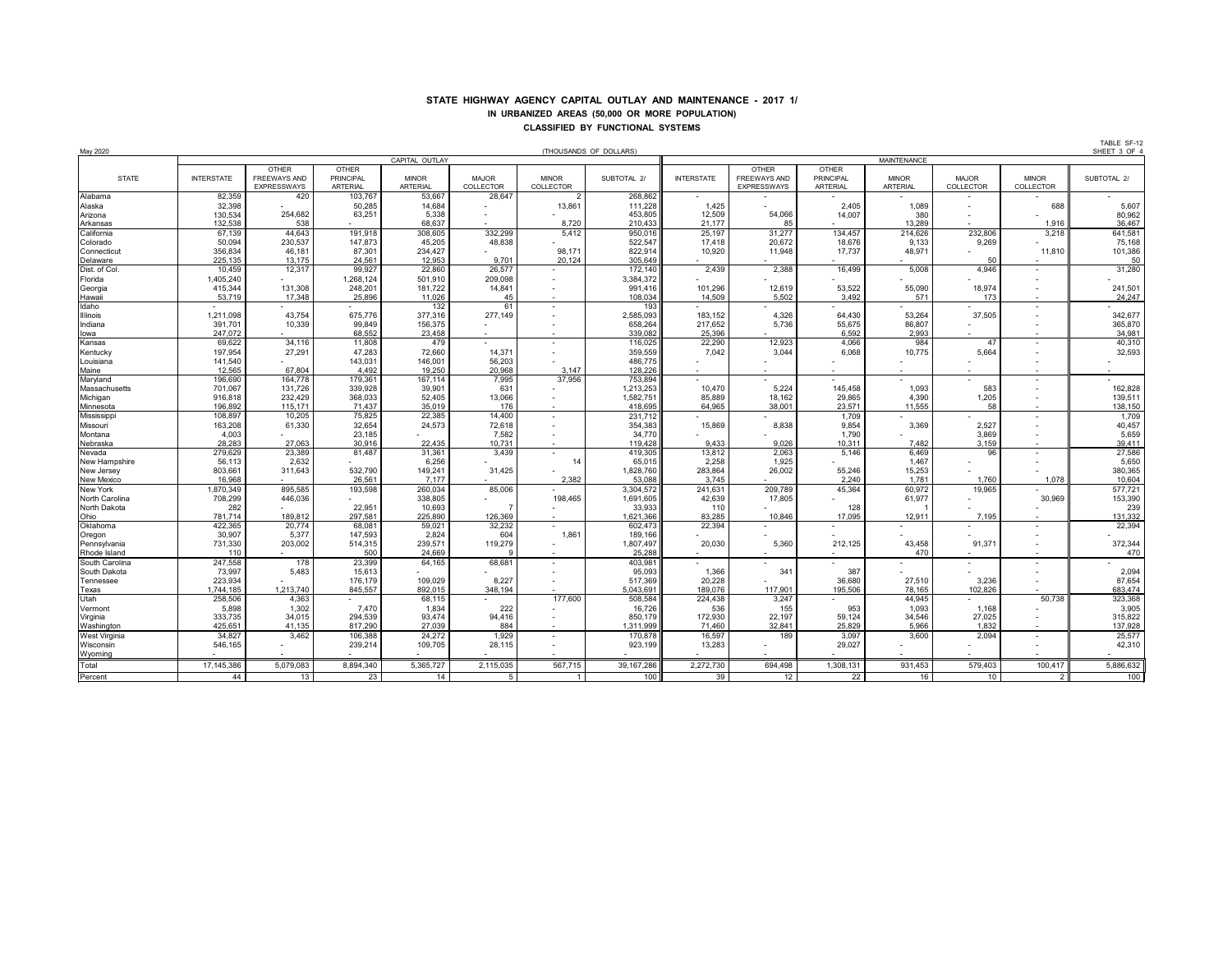## **STATE HIGHWAY AGENCY CAPITAL OUTLAY AND MAINTENANCE - 2017 1/ IN URBANIZED AREAS (50,000 OR MORE POPULATION) CLASSIFIED BY FUNCTIONAL SYSTEMS**

TABLE SF-12

| May 2020        |                   |                    |                  |                                      |                |                  | (THOUSANDS OF DOLLARS) |                   |                     |                  |              |                  |                          | SHEET 3 OF  |  |
|-----------------|-------------------|--------------------|------------------|--------------------------------------|----------------|------------------|------------------------|-------------------|---------------------|------------------|--------------|------------------|--------------------------|-------------|--|
|                 |                   |                    |                  | CAPITAL OUTLAY<br><b>MAINTENANCE</b> |                |                  |                        |                   |                     |                  |              |                  |                          |             |  |
|                 |                   | <b>OTHER</b>       | <b>OTHER</b>     |                                      |                |                  |                        |                   | <b>OTHER</b>        | <b>OTHER</b>     |              |                  |                          |             |  |
| <b>STATE</b>    | <b>INTERSTATE</b> | FREEWAYS AND       | <b>PRINCIPAL</b> | <b>MINOR</b>                         | <b>MAJOR</b>   | <b>MINOR</b>     | SUBTOTAL 2/            | <b>INTERSTATE</b> | <b>FREEWAYS AND</b> | <b>PRINCIPAL</b> | <b>MINOR</b> | <b>MAJOR</b>     | <b>MINOR</b>             | SUBTOTAL 2/ |  |
|                 |                   | <b>EXPRESSWAYS</b> | <b>ARTERIAL</b>  | <b>ARTERIAL</b>                      | COLLECTOR      | <b>COLLECTOR</b> |                        |                   | <b>EXPRESSWAYS</b>  | <b>ARTERIAL</b>  | ARTERIAL     | <b>COLLECTOR</b> | COLLECTOR                |             |  |
| Alabama         | 82,359            | 420                | 103,767          | 53,667                               | 28,647         | $\overline{2}$   | 268,862                |                   |                     |                  |              |                  |                          |             |  |
| Alaska          | 32,398            |                    | 50,285           | 14,684                               |                | 13,861           | 111,228                | 1,425             |                     | 2,405            | 1,089        |                  | 688                      | 5,607       |  |
| Arizona         | 130,534           | 254,682            | 63,251           | 5,338                                |                |                  | 453,805                | 12,509            | 54,066              | 14,007           | 380          |                  |                          | 80,962      |  |
| Arkansas        | 132,538           | 538                |                  | 68,637                               |                | 8,720            | 210,433                | 21,177            | 85                  |                  | 13.289       |                  | 1,916                    | 36,467      |  |
| California      | 67,139            | 44,643             | 191,918          | 308,605                              | 332,299        | 5,412            | 950,016                | 25,197            | 31,277              | 134,457          | 214,626      | 232,806          | 3,218                    | 641,581     |  |
| Colorado        | 50,094            | 230,537            | 147,873          | 45,205                               | 48,838         |                  | 522,547                | 17,418            | 20,672              | 18,676           | 9,133        | 9,269            |                          | 75,168      |  |
| Connecticut     | 356,834           | 46,181             | 87,301           | 234,427                              |                | 98,171           | 822,914                | 10,920            | 11,948              | 17,737           | 48,971       |                  | 11,810                   | 101,386     |  |
| Delaware        | 225,135           | 13,175             | 24,561           | 12,953                               | 9.701          | 20,124           | 305,649                |                   |                     |                  |              | 50               |                          | 50          |  |
| Dist. of Col.   | 10,459            | 12,317             | 99,927           | 22,860                               | 26,577         |                  | 172,140                | 2,439             | 2,388               | 16,499           | 5,008        | 4,946            |                          | 31,280      |  |
| Florida         | 1,405,240         |                    | 1,268,124        | 501,910                              | 209,098        |                  | 3,384,372              |                   |                     |                  |              |                  |                          |             |  |
| Georgia         | 415,344           | 131,308            | 248,201          | 181,722                              | 14,841         |                  | 991,416                | 101,296           | 12,619              | 53,522           | 55,090       | 18,974           |                          | 241,501     |  |
| Hawaii          | 53,719            | 17,348             | 25,896           | 11,026                               | 45             | $\sim$           | 108,034                | 14,509            | 5,502               | 3,492            | 571          | 173              | $\sim$                   | 24,247      |  |
| Idaho           |                   |                    |                  | 132                                  | 61             | $\sim$           | 193                    |                   |                     |                  |              |                  |                          |             |  |
| <b>Illinois</b> | 1,211,098         | 43,754             | 675,776          | 377,316                              | 277,149        |                  | 2,585,093              | 183,152           | 4,326               | 64,430           | 53,264       | 37,505           |                          | 342,677     |  |
| Indiana         | 391,701           | 10,339             | 99,849           | 156,375                              |                |                  | 658,264                | 217,652           | 5,736               | 55,675           | 86,807       |                  |                          | 365,870     |  |
| lowa            | 247,072           |                    | 68,552           | 23,458                               |                |                  | 339,082                | 25,396            |                     | 6,592            | 2,993        |                  |                          | 34,981      |  |
| Kansas          | 69,622            | 34,116             | 11,808           | 479                                  |                |                  | 116,025                | 22,290            | 12,923              | 4,066            | 984          | 47               |                          | 40,310      |  |
| Kentucky        | 197,954           | 27,291             | 47,283           | 72,660                               | 14,371         |                  | 359,559                | 7,042             | 3,044               | 6,068            | 10,775       | 5,664            |                          | 32,593      |  |
| Louisiana       | 141,540           |                    | 143,031          | 146,001                              | 56,203         |                  | 486,775                |                   |                     |                  |              |                  |                          |             |  |
| Maine           | 12,565            | 67,804             | 4,492            | 19,250                               | 20,968         | 3,147            | 128,226                |                   |                     |                  |              |                  |                          |             |  |
| Maryland        | 196,690           | 164,778            | 179,361          | 167,114                              | 7,995          | 37,956           | 753,894                |                   |                     |                  |              |                  |                          |             |  |
| Massachusetts   | 701,067           | 131,726            | 339,928          | 39,901                               | 631            |                  | 1,213,253              | 10,470            | 5,224               | 145,458          | 1,093        | 583              |                          | 162,828     |  |
| Michigan        | 916,818           | 232,429            | 368,033          | 52,405                               | 13,066         |                  | 1,582,751              | 85,889            | 18,162              | 29,865           | 4,390        | 1,205            |                          | 139,511     |  |
| Minnesota       | 196,892           | 115,171            | 71.437           | 35,019                               | 176            |                  | 418,695                | 64,965            | 38,001              | 23,571           | 11,555       | 58               |                          | 138,150     |  |
| Mississippi     | 108,897           | 10,205             | 75,825           | 22,385                               | 14,400         |                  | 231,712                |                   |                     | 1,709            |              |                  |                          | 1,709       |  |
| Missouri        | 163,208           | 61,330             | 32,654           | 24,573                               | 72,618         |                  | 354,383                | 15,869            | 8,838               | 9,854            | 3,369        | 2,527            |                          | 40,457      |  |
| Montana         | 4,003             |                    | 23,185           |                                      | 7,582          |                  | 34,770                 |                   |                     | 1,790            |              | 3,869            |                          | 5,659       |  |
| Nebraska        | 28,283            | 27,063             | 30,916           | 22,435                               | 10,731         |                  | 119,428                | 9,433             | 9,026               | 10,311           | 7,482        | 3,159            |                          | 39,411      |  |
| Nevada          | 279,629           | 23,389             | 81,487           | 31,361                               | 3,439          |                  | 419,305                | 13,812            | 2,063               | 5,146            | 6,469        | 96               |                          | 27,586      |  |
| New Hampshire   | 56,113            | 2,632              |                  | 6,256                                |                | 14               | 65,015                 | 2,258             | 1,925               |                  | 1,467        |                  |                          | 5,650       |  |
| New Jersey      | 803,661           | 311,643            | 532,790          | 149,241                              | 31,425         |                  | 1,828,760              | 283,864           | 26,002              | 55,246           | 15,253       |                  |                          | 380,365     |  |
| New Mexico      | 16,968            |                    | 26.561           | 7,177                                |                | 2.382            | 53,088                 | 3.745             |                     | 2.240            | 1.781        | 1.760            | 1,078                    | 10,604      |  |
| <b>New York</b> | 1,870,349         | 895,585            | 193,598          | 260,034                              | 85,006         |                  | 3,304,572              | 241,631           | 209,789             | 45,364           | 60,972       | 19,965           |                          | 577,721     |  |
| North Carolina  | 708,299           | 446,036            |                  | 338,805                              |                | 198,465          | 1,691,605              | 42,639            | 17,805              |                  | 61,977       |                  | 30,969                   | 153,390     |  |
| North Dakota    | 282               |                    | 22,951           | 10,693                               |                |                  | 33,933                 | 110               |                     | 128              |              |                  |                          | 239         |  |
| Ohio            | 781,714           | 189,812            | 297,581          | 225,890                              | 126,369        |                  | 1,621,366              | 83,285            | 10,846              | 17,095           | 12,911       | 7,195            |                          | 131,332     |  |
| Oklahoma        | 422,365           | 20,774             | 68,081           | 59,021                               | 32,232         |                  | 602,473                | 22,394            |                     |                  |              |                  |                          | 22,394      |  |
| Oregon          | 30,907            | 5,377              | 147,593          | 2,824                                | 604            | 1,861            | 189,166                |                   |                     |                  |              |                  |                          |             |  |
| Pennsylvania    | 731,330           | 203,002            | 514,315          | 239,571                              | 119,279        |                  | 1,807,497              | 20,030            | 5,360               | 212,125          | 43,458       | 91,371           |                          | 372,344     |  |
| Rhode Island    | 110               |                    | 500              | 24,669                               |                |                  | 25,288                 |                   | $\sim$              |                  | 470          |                  |                          | 470         |  |
| South Carolina  | 247,558           | 178                | 23,399           | 64,165                               | 68,681         |                  | 403,981                |                   |                     |                  |              |                  |                          |             |  |
| South Dakota    | 73,997            | 5,483              | 15,613           |                                      |                |                  | 95,093                 | 1,366             | 341                 | 387              |              |                  |                          | 2,094       |  |
| Tennessee       | 223,934           |                    | 176,179          | 109,029                              | 8,227          |                  | 517,369                | 20,228            |                     | 36,680           | 27,510       | 3,236            |                          | 87,654      |  |
|                 | 1,744,185         | 1,213,740          | 845,557          | 892,015                              | 348,194        |                  | 5,043,691              | 189,076           | 117,901             | 195,506          | 78,165       | 102,826          |                          | 683,474     |  |
| Texas<br>Utah   | 258,506           | 4,363              |                  | 68,115                               |                | 177,600          | 508,584                | 224,438           | 3,247               |                  | 44,945       |                  | 50,738                   | 323,368     |  |
| Vermont         | 5,898             | 1,302              | 7,470            | 1,834                                | 222            |                  | 16,726                 | 536               | 155                 | 953              | 1,093        | 1,168            |                          | 3,905       |  |
| Virginia        | 333,735           | 34,015             | 294,539          | 93,474                               | 94,416         |                  | 850,179                | 172,930           | 22,197              | 59,124           | 34,546       | 27,025           |                          | 315,822     |  |
| Washington      | 425,651           | 41,135             | 817,290          | 27,039                               | 884            |                  | 1,311,999              | 71,460            | 32,841              | 25,829           | 5,966        | 1,832            | $\overline{\phantom{0}}$ | 137,928     |  |
| West Virginia   | 34,827            | 3,462              | 106,388          | 24,272                               | 1,929          | $\sim$           | 170,878                | 16,597            | 189                 | 3,097            | 3,600        | 2,094            | $\overline{\phantom{0}}$ | 25,577      |  |
| Wisconsin       | 546,165           |                    | 239,214          | 109,705                              | 28,115         |                  | 923,199                | 13,283            |                     | 29,027           |              |                  |                          | 42,310      |  |
| Wyoming         |                   |                    |                  |                                      |                |                  |                        |                   |                     |                  |              |                  |                          |             |  |
| Total           | 17,145,386        | 5,079,083          | 8,894,340        | 5,365,727                            | 2,115,035      | 567,715          | 39,167,286             | 2,272,730         | 694,498             | 1,308,131        | 931,453      | 579,403          | 100,417                  | 5,886,632   |  |
| Percent         | 44                | 13                 | 23               | 14                                   | 5 <sup>5</sup> | $\overline{1}$   | 100                    | 39                | 12                  | 22               | 16           | 10               | <sup>2</sup>             | 100         |  |
|                 |                   |                    |                  |                                      |                |                  |                        |                   |                     |                  |              |                  |                          |             |  |